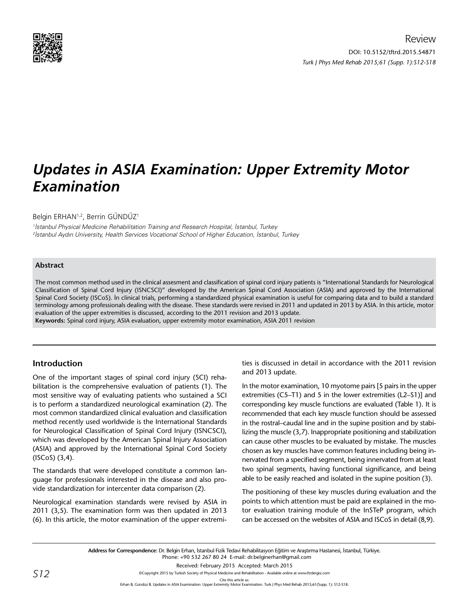

# *Updates in ASIA Examination: Upper Extremity Motor Examination*

Belgin ERHAN<sup>1,2</sup>, Berrin GÜNDÜZ<sup>1</sup>

1 İstanbul Physical Medicine Rehabilitation Training and Research Hospital, İstanbul, Turkey 2 İstanbul Aydın University, Health Services Vocational School of Higher Education, İstanbul, Turkey

## **Abstract**

The most common method used in the clinical assesment and classification of spinal cord injury patients is "International Standards for Neurological Classification of Spinal Cord Injury (ISNCSCI)" developed by the American Spinal Cord Association (ASIA) and approved by the International Spinal Cord Society (ISCoS). İn clinical trials, performing a standardized physical examination is useful for comparing data and to build a standard terminology among professionals dealing with the disease. These standards were revised in 2011 and updated in 2013 by ASIA. In this article, motor evaluation of the upper extremities is discussed, according to the 2011 revision and 2013 update.

**Keywords:** Spinal cord injury, ASIA evaluation, upper extremity motor examination, ASIA 2011 revision

# **Introduction**

One of the important stages of spinal cord injury (SCI) rehabilitation is the comprehensive evaluation of patients (1). The most sensitive way of evaluating patients who sustained a SCI is to perform a standardized neurological examination (2). The most common standardized clinical evaluation and classification method recently used worldwide is the International Standards for Neurological Classification of Spinal Cord Injury (ISNCSCI), which was developed by the American Spinal Injury Association (ASIA) and approved by the International Spinal Cord Society (ISCoS) (3,4).

The standards that were developed constitute a common language for professionals interested in the disease and also provide standardization for intercenter data comparison (2).

Neurological examination standards were revised by ASIA in 2011 (3,5). The examination form was then updated in 2013 (6). In this article, the motor examination of the upper extremities is discussed in detail in accordance with the 2011 revision and 2013 update.

In the motor examination, 10 myotome pairs [5 pairs in the upper extremities (C5–T1) and 5 in the lower extremities (L2–S1)] and corresponding key muscle functions are evaluated (Table 1). It is recommended that each key muscle function should be assessed in the rostral–caudal line and in the supine position and by stabilizing the muscle (3,7). Inappropriate positioning and stabilization can cause other muscles to be evaluated by mistake. The muscles chosen as key muscles have common features including being innervated from a specified segment, being innervated from at least two spinal segments, having functional significance, and being able to be easily reached and isolated in the supine position (3).

The positioning of these key muscles during evaluation and the points to which attention must be paid are explained in the motor evaluation training module of the InSTeP program, which can be accessed on the websites of ASIA and ISCoS in detail (8,9).

Cite this article as:<br>Erhan B, Gündüz B. Updates in ASIA Examination: Upper Extremity Motor Examination. Turk J Phys Med Rehab 2015;61(Supp. 1): S12-S18.

**Address for Correspondence:** Dr. Belgin Erhan, İstanbul Fizik Tedavi Rehabilitasyon Eğitim ve Araştırma Hastanesi, İstanbul, Türkiye. Phone: +90 532 267 80 24 E-mail: dr.belginerhan@gmail.com Received: February 2015 Accepted: March 2015 ©Copyright 2015 by Turkish Society of Physical Medicine and Rehabilitation - Available online at www.ftrdergisi.com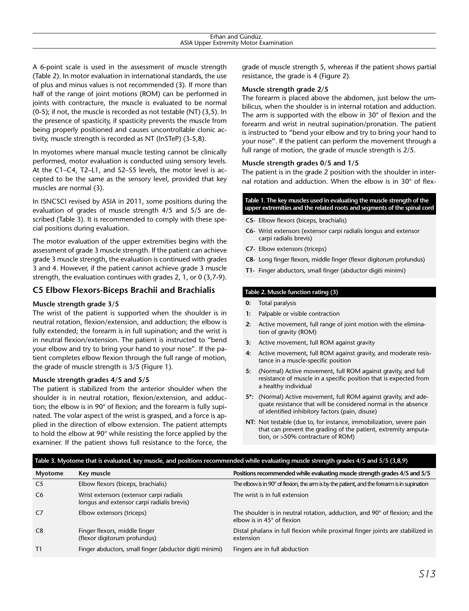A 6-point scale is used in the assessment of muscle strength (Table 2). In motor evaluation in international standards, the use of plus and minus values is not recommended (3). If more than half of the range of joint motions (ROM) can be performed in joints with contracture, the muscle is evaluated to be normal (0-5); if not, the muscle is recorded as not testable (NT) (3,5). In the presence of spasticity, if spasticity prevents the muscle from being properly positioned and causes uncontrollable clonic activity, muscle strength is recorded as NT (InSTeP) (3-5,8).

In myotomes where manual muscle testing cannot be clinically performed, motor evaluation is conducted using sensory levels. At the C1–C4, T2–L1, and S2–S5 levels, the motor level is accepted to be the same as the sensory level, provided that key muscles are normal (3).

In ISNCSCI revised by ASIA in 2011, some positions during the evaluation of grades of muscle strength 4/5 and 5/5 are described (Table 3). It is recommended to comply with these special positions during evaluation.

The motor evaluation of the upper extremities begins with the assessment of grade 3 muscle strength. If the patient can achieve grade 3 muscle strength, the evaluation is continued with grades 3 and 4. However, if the patient cannot achieve grade 3 muscle strength, the evaluation continues with grades 2, 1, or 0 (3,7-9).

# **C5 Elbow Flexors-Biceps Brachii and Brachialis**

## **Muscle strength grade 3/5**

The wrist of the patient is supported when the shoulder is in neutral rotation, flexion/extension, and adduction; the elbow is fully extended; the forearm is in full supination; and the wrist is in neutral flexion/extension. The patient is instructed to "bend your elbow and try to bring your hand to your nose". If the patient completes elbow flexion through the full range of motion, the grade of muscle strength is 3/5 (Figure 1).

#### **Muscle strength grades 4/5 and 5/5**

The patient is stabilized from the anterior shoulder when the shoulder is in neutral rotation, flexion/extension, and adduction; the elbow is in 90° of flexion; and the forearm is fully supinated. The volar aspect of the wrist is grasped, and a force is applied in the direction of elbow extension. The patient attempts to hold the elbow at 90° while resisting the force applied by the examiner. If the patient shows full resistance to the force, the

grade of muscle strength 5, whereas if the patient shows partial resistance, the grade is 4 (Figure 2).

#### **Muscle strength grade 2/5**

The forearm is placed above the abdomen, just below the umbilicus, when the shoulder is in internal rotation and adduction. The arm is supported with the elbow in  $30^{\circ}$  of flexion and the forearm and wrist in neutral supination/pronation. The patient is instructed to "bend your elbow and try to bring your hand to your nose". If the patient can perform the movement through a full range of motion, the grade of muscle strength is 2/5.

#### **Muscle strength grades 0/5 and 1/5**

The patient is in the grade 2 position with the shoulder in internal rotation and adduction. When the elbow is in 30° of flex-

#### **Table 1. The key muscles used in evaluating the muscle strength of the upper extremities and the related roots and segments of the spinal cord**

- **C5-** Elbow flexors (biceps, brachialis)
- **C6-** Wrist extensors (extensor carpi radialis longus and extensor carpi radialis brevis)
- **C7-** Elbow extensors (triceps)
- **C8-** Long finger flexors, middle finger (flexor digitorum profundus)
- **T1-** Finger abductors, small finger (abductor digiti minimi)

#### **Table 2. Muscle function rating (3)**

- **0:** Total paralysis
- **1:** Palpable or visible contraction
- **2:** Active movement, full range of joint motion with the elimination of gravity (ROM)
- **3:** Active movement, full ROM against gravity
- **4:** Active movement, full ROM against gravity, and moderate resistance in a muscle-specific position
- **5:** (Normal) Active movement, full ROM against gravity, and full resistance of muscle in a specific position that is expected from a healthy individual
- **5\*:** (Normal) Active movement, full ROM against gravity, and adequate resistance that will be considered normal in the absence of identified inhibitory factors (pain, disuse)
- **NT:** Not testable (due to, for instance, immobilization, severe pain that can prevent the grading of the patient, extremity amputation, or >50% contracture of ROM)

#### **Table 3. Myotome that is evaluated, key muscle, and positions recommended while evaluating muscle strength grades 4/5 and 5/5 (3,8,9)**

| Myotome        | Key muscle                                                                             | Positions recommended while evaluating muscle strength grades 4/5 and 5/5                                        |
|----------------|----------------------------------------------------------------------------------------|------------------------------------------------------------------------------------------------------------------|
| C <sub>5</sub> | Elbow flexors (biceps, brachialis)                                                     | The elbow is in 90 $^{\circ}$ of flexion, the arm is by the patient, and the forearm is in supination            |
| C <sub>6</sub> | Wrist extensors (extensor carpi radialis<br>longus and extensor carpi radialis brevis) | The wrist is in full extension                                                                                   |
| C7             | Elbow extensors (triceps)                                                              | The shoulder is in neutral rotation, adduction, and 90° of flexion; and the<br>elbow is in $45^\circ$ of flexion |
| C <sub>8</sub> | Finger flexors, middle finger<br>(flexor digitorum profundus)                          | Distal phalanx in full flexion while proximal finger joints are stabilized in<br>extension                       |
| T1             | Finger abductors, small finger (abductor digiti minimi)                                | Fingers are in full abduction                                                                                    |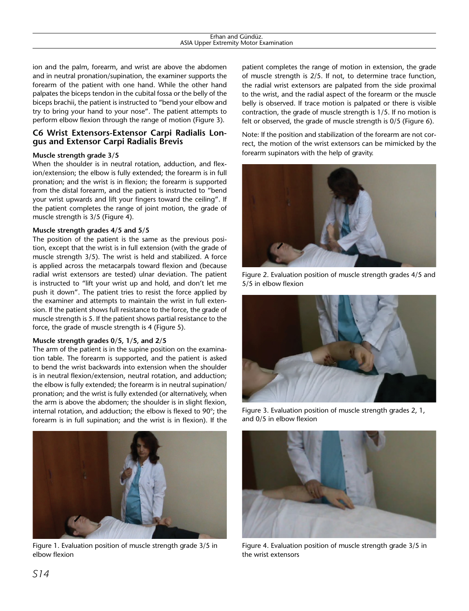| .<br>iunduz<br>anc<br>iar                                                                                   |  |
|-------------------------------------------------------------------------------------------------------------|--|
| .<br>:xtremitv<br>Examination<br>Motor<br>. Inner<br>```<br>the contract of the contract of the contract of |  |
|                                                                                                             |  |

ion and the palm, forearm, and wrist are above the abdomen and in neutral pronation/supination, the examiner supports the forearm of the patient with one hand. While the other hand palpates the biceps tendon in the cubital fossa or the belly of the biceps brachii, the patient is instructed to "bend your elbow and try to bring your hand to your nose". The patient attempts to perform elbow flexion through the range of motion (Figure 3).

## **C6 Wrist Extensors-Extensor Carpi Radialis Longus and Extensor Carpi Radialis Brevis**

## **Muscle strength grade 3/5**

When the shoulder is in neutral rotation, adduction, and flexion/extension; the elbow is fully extended; the forearm is in full pronation; and the wrist is in flexion; the forearm is supported from the distal forearm, and the patient is instructed to "bend your wrist upwards and lift your fingers toward the ceiling". If the patient completes the range of joint motion, the grade of muscle strength is 3/5 (Figure 4).

#### **Muscle strength grades 4/5 and 5/5**

The position of the patient is the same as the previous position, except that the wrist is in full extension (with the grade of muscle strength 3/5). The wrist is held and stabilized. A force is applied across the metacarpals toward flexion and (because radial wrist extensors are tested) ulnar deviation. The patient is instructed to "lift your wrist up and hold, and don't let me push it down". The patient tries to resist the force applied by the examiner and attempts to maintain the wrist in full extension. If the patient shows full resistance to the force, the grade of muscle strength is 5. If the patient shows partial resistance to the force, the grade of muscle strength is 4 (Figure 5).

#### **Muscle strength grades 0/5, 1/5, and 2/5**

The arm of the patient is in the supine position on the examination table. The forearm is supported, and the patient is asked to bend the wrist backwards into extension when the shoulder is in neutral flexion/extension, neutral rotation, and adduction; the elbow is fully extended; the forearm is in neutral supination/ pronation; and the wrist is fully extended (or alternatively, when the arm is above the abdomen; the shoulder is in slight flexion, internal rotation, and adduction; the elbow is flexed to 90°; the forearm is in full supination; and the wrist is in flexion). If the



Figure 1. Evaluation position of muscle strength grade 3/5 in elbow flexion

patient completes the range of motion in extension, the grade of muscle strength is 2/5. If not, to determine trace function, the radial wrist extensors are palpated from the side proximal to the wrist, and the radial aspect of the forearm or the muscle belly is observed. If trace motion is palpated or there is visible contraction, the grade of muscle strength is 1/5. If no motion is felt or observed, the grade of muscle strength is 0/5 (Figure 6).

Note: If the position and stabilization of the forearm are not correct, the motion of the wrist extensors can be mimicked by the forearm supinators with the help of gravity.



Figure 2. Evaluation position of muscle strength grades 4/5 and 5/5 in elbow flexion



Figure 3. Evaluation position of muscle strength grades 2, 1, and 0/5 in elbow flexion



Figure 4. Evaluation position of muscle strength grade 3/5 in the wrist extensors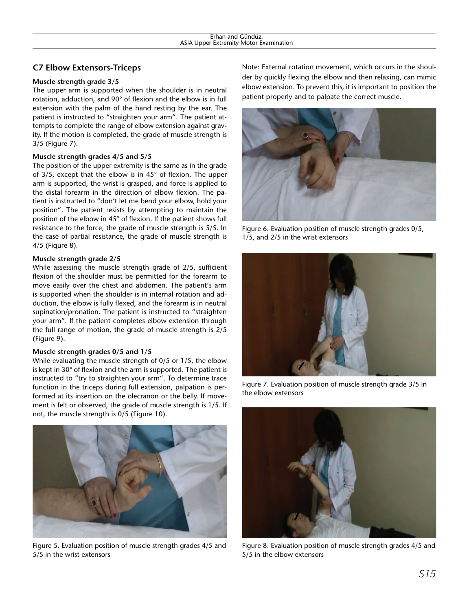# **C7 Elbow Extensors-Triceps**

## **Muscle strength grade 3/5**

The upper arm is supported when the shoulder is in neutral rotation, adduction, and 90° of flexion and the elbow is in full extension with the palm of the hand resting by the ear. The patient is instructed to "straighten your arm". The patient attempts to complete the range of elbow extension against gravity. If the motion is completed, the grade of muscle strength is 3/5 (Figure 7).

## **Muscle strength grades 4/5 and 5/5**

The position of the upper extremity is the same as in the grade of 3/5, except that the elbow is in 45° of flexion. The upper arm is supported, the wrist is grasped, and force is applied to the distal forearm in the direction of elbow flexion. The patient is instructed to "don't let me bend your elbow, hold your position". The patient resists by attempting to maintain the position of the elbow in 45° of flexion. If the patient shows full resistance to the force, the grade of muscle strength is 5/5. In the case of partial resistance, the grade of muscle strength is 4/5 (Figure 8).

## **Muscle strength grade 2/5**

While assessing the muscle strength grade of 2/5, sufficient flexion of the shoulder must be permitted for the forearm to move easily over the chest and abdomen. The patient's arm is supported when the shoulder is in internal rotation and adduction, the elbow is fully flexed, and the forearm is in neutral supination/pronation. The patient is instructed to "straighten your arm". If the patient completes elbow extension through the full range of motion, the grade of muscle strength is 2/5 (Figure 9).

## **Muscle strength grades 0/5 and 1/5**

While evaluating the muscle strength of 0/5 or 1/5, the elbow is kept in 30° of flexion and the arm is supported. The patient is instructed to "try to straighten your arm". To determine trace function in the triceps during full extension, palpation is performed at its insertion on the olecranon or the belly. If movement is felt or observed, the grade of muscle strength is 1/5. If not, the muscle strength is 0/5 (Figure 10).



Figure 5. Evaluation position of muscle strength grades 4/5 and 5/5 in the wrist extensors

Note: External rotation movement, which occurs in the shoulder by quickly flexing the elbow and then relaxing, can mimic elbow extension. To prevent this, it is important to position the patient properly and to palpate the correct muscle.



Figure 6. Evaluation position of muscle strength grades 0/5, 1/5, and 2/5 in the wrist extensors



Figure 7. Evaluation position of muscle strength grade 3/5 in the elbow extensors



Figure 8. Evaluation position of muscle strength grades 4/5 and 5/5 in the elbow extensors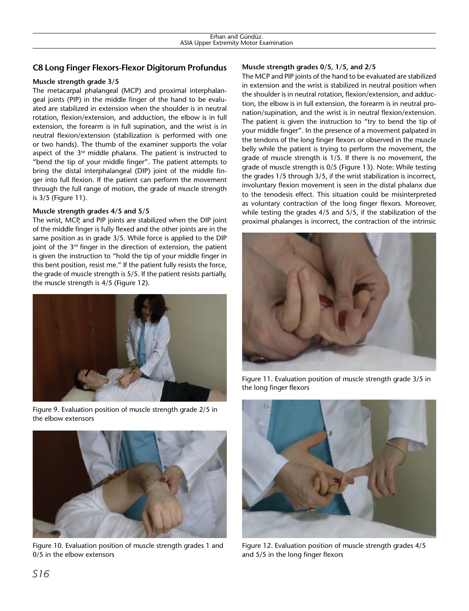# **C8 Long Finger Flexors-Flexor Digitorum Profundus**

# **Muscle strength grade 3/5**

The metacarpal phalangeal (MCP) and proximal interphalangeal joints (PIP) in the middle finger of the hand to be evaluated are stabilized in extension when the shoulder is in neutral rotation, flexion/extension, and adduction, the elbow is in full extension, the forearm is in full supination, and the wrist is in neutral flexion/extension (stabilization is performed with one or two hands). The thumb of the examiner supports the volar aspect of the  $3<sup>rd</sup>$  middle phalanx. The patient is instructed to "bend the tip of your middle finger". The patient attempts to bring the distal interphalangeal (DIP) joint of the middle finger into full flexion. If the patient can perform the movement through the full range of motion, the grade of muscle strength is 3/5 (Figure 11).

# **Muscle strength grades 4/5 and 5/5**

The wrist, MCP, and PIP joints are stabilized when the DIP joint of the middle finger is fully flexed and the other joints are in the same position as in grade 3/5. While force is applied to the DIP joint of the 3<sup>rd</sup> finger in the direction of extension, the patient is given the instruction to "hold the tip of your middle finger in this bent position, resist me." If the patient fully resists the force, the grade of muscle strength is 5/5. If the patient resists partially, the muscle strength is 4/5 (Figure 12).



Figure 9. Evaluation position of muscle strength grade 2/5 in the elbow extensors



Figure 10. Evaluation position of muscle strength grades 1 and 0/5 in the elbow extensors

# **Muscle strength grades 0/5, 1/5, and 2/5**

The MCP and PIP joints of the hand to be evaluated are stabilized in extension and the wrist is stabilized in neutral position when the shoulder is in neutral rotation, flexion/extension, and adduction, the elbow is in full extension, the forearm is in neutral pronation/supination, and the wrist is in neutral flexion/extension. The patient is given the instruction to "try to bend the tip of your middle finger". In the presence of a movement palpated in the tendons of the long finger flexors or observed in the muscle belly while the patient is trying to perform the movement, the grade of muscle strength is 1/5. If there is no movement, the grade of muscle strength is 0/5 (Figure 13). Note: While testing the grades 1/5 through 3/5, if the wrist stabilization is incorrect, involuntary flexion movement is seen in the distal phalanx due to the tenodesis effect. This situation could be misinterpreted as voluntary contraction of the long finger flexors. Moreover, while testing the grades 4/5 and 5/5, if the stabilization of the proximal phalanges is incorrect, the contraction of the intrinsic



Figure 11. Evaluation position of muscle strength grade 3/5 in the long finger flexors



Figure 12. Evaluation position of muscle strength grades 4/5 and 5/5 in the long finger flexors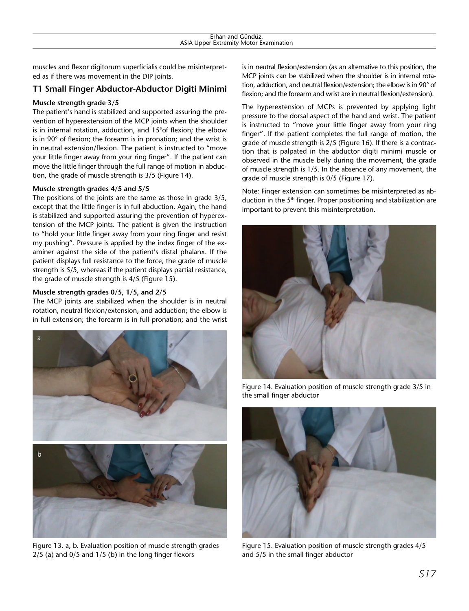muscles and flexor digitorum superficialis could be misinterpreted as if there was movement in the DIP joints.

# **T1 Small Finger Abductor-Abductor Digiti Minimi**

## **Muscle strength grade 3/5**

The patient's hand is stabilized and supported assuring the prevention of hyperextension of the MCP joints when the shoulder is in internal rotation, adduction, and 15°of flexion; the elbow is in 90° of flexion; the forearm is in pronation; and the wrist is in neutral extension/flexion. The patient is instructed to "move your little finger away from your ring finger". If the patient can move the little finger through the full range of motion in abduction, the grade of muscle strength is 3/5 (Figure 14).

## **Muscle strength grades 4/5 and 5/5**

The positions of the joints are the same as those in grade 3/5, except that the little finger is in full abduction. Again, the hand is stabilized and supported assuring the prevention of hyperextension of the MCP joints. The patient is given the instruction to "hold your little finger away from your ring finger and resist my pushing". Pressure is applied by the index finger of the examiner against the side of the patient's distal phalanx. If the patient displays full resistance to the force, the grade of muscle strength is 5/5, whereas if the patient displays partial resistance, the grade of muscle strength is 4/5 (Figure 15).

# **Muscle strength grades 0/5, 1/5, and 2/5**

The MCP joints are stabilized when the shoulder is in neutral rotation, neutral flexion/extension, and adduction; the elbow is in full extension; the forearm is in full pronation; and the wrist



Figure 13. a, b. Evaluation position of muscle strength grades 2/5 (a) and 0/5 and 1/5 (b) in the long finger flexors

is in neutral flexion/extension (as an alternative to this position, the MCP joints can be stabilized when the shoulder is in internal rotation, adduction, and neutral flexion/extension; the elbow is in 90° of flexion; and the forearm and wrist are in neutral flexion/extension).

The hyperextension of MCPs is prevented by applying light pressure to the dorsal aspect of the hand and wrist. The patient is instructed to "move your little finger away from your ring finger". If the patient completes the full range of motion, the grade of muscle strength is 2/5 (Figure 16). If there is a contraction that is palpated in the abductor digiti minimi muscle or observed in the muscle belly during the movement, the grade of muscle strength is 1/5. In the absence of any movement, the grade of muscle strength is 0/5 (Figure 17).

Note: Finger extension can sometimes be misinterpreted as abduction in the  $5<sup>th</sup>$  finger. Proper positioning and stabilization are important to prevent this misinterpretation.



Figure 14. Evaluation position of muscle strength grade 3/5 in the small finger abductor



Figure 15. Evaluation position of muscle strength grades 4/5 and 5/5 in the small finger abductor